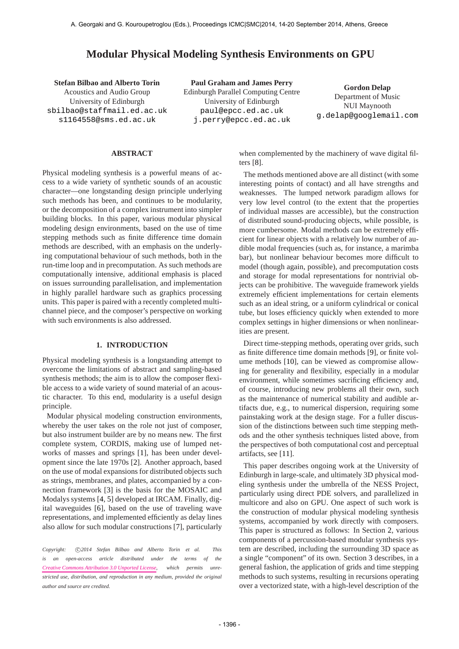# **Modular Physical Modeling Synthesis Environments on GPU**

**Stefan Bilbao and Alberto Torin** Acoustics and Audio Group University of Edinburgh [sbilbao@staffmail.ed.ac.uk](mailto:sbilbao@staffmail.ed.ac.uk) [s1164558@sms.ed.ac.uk](mailto:s1164558@sms.ed.ac.uk)

**Paul Graham and James Perry** Edinburgh Parallel Computing Centre University of Edinburgh [paul@epcc.ed.ac.uk](mailto:paul@epcc.ed.ac.uk) [j.perry@epcc.ed.ac.uk](mailto:j.perry@epcc.ed.ac.uk)

**Gordon Delap** Department of Music NUI Maynooth [g.delap@googlemail.com](mailto:g.delap@googlemail.com)

## **ABSTRACT**

Physical modeling synthesis is a powerful means of access to a wide variety of synthetic sounds of an acoustic character—one longstanding design principle underlying such methods has been, and continues to be modularity, or the decomposition of a complex instrument into simpler building blocks. In this paper, various modular physical modeling design environments, based on the use of time stepping methods such as finite difference time domain methods are described, with an emphasis on the underlying computational behaviour of such methods, both in the run-time loop and in precomputation. As such methods are computationally intensive, additional emphasis is placed on issues surrounding parallelisation, and implementation in highly parallel hardware such as graphics processing units. This paper is paired with a recently completed multichannel piece, and the composer's perspective on working with such environments is also addressed.

### **1. INTRODUCTION**

Physical modeling synthesis is a longstanding attempt to overcome the limitations of abstract and sampling-based synthesis methods; the aim is to allow the composer flexible access to a wide variety of sound material of an acoustic character. To this end, modularity is a useful design principle.

Modular physical modeling construction environments, whereby the user takes on the role not just of composer, but also instrument builder are by no means new. The first complete system, CORDIS, making use of lumped networks of masses and springs [1], has been under development since the late 1970s [2]. Another approach, based on the use of modal expansions for distributed objects such as strings, membranes, and plates, accompanied by a connection framework [3] is the basis for the MOSAIC and Modalys systems [4, 5] developed at IRCAM. Finally, digital waveguides [6], based on the use of traveling wave representations, and implemented efficiently as delay lines also allow for such modular constructions [7], particularly

Copyright:  $\bigcirc$ 2014 Stefan Bilbao and Alberto Torin et al. This *is an open-access article distributed under the terms of the [Creative Commons Attribution 3.0 Unported License,](http://creativecommons.org/licenses/by/3.0/) which permits unrestricted use, distribution, and reproduction in any medium, provided the original author and source are credited.*

when complemented by the machinery of wave digital filters [8].

The methods mentioned above are all distinct (with some interesting points of contact) and all have strengths and weaknesses. The lumped network paradigm allows for very low level control (to the extent that the properties of individual masses are accessible), but the construction of distributed sound-producing objects, while possible, is more cumbersome. Modal methods can be extremely efficient for linear objects with a relatively low number of audible modal frequencies (such as, for instance, a marimba bar), but nonlinear behaviour becomes more difficult to model (though again, possible), and precomputation costs and storage for modal representations for nontrivial objects can be prohibitive. The waveguide framework yields extremely efficient implementations for certain elements such as an ideal string, or a uniform cylindrical or conical tube, but loses efficiency quickly when extended to more complex settings in higher dimensions or when nonlinearities are present.

Direct time-stepping methods, operating over grids, such as finite difference time domain methods [9], or finite volume methods [10], can be viewed as compromise allowing for generality and flexibility, especially in a modular environment, while sometimes sacrificing efficiency and, of course, introducing new problems all their own, such as the maintenance of numerical stability and audible artifacts due, e.g., to numerical dispersion, requiring some painstaking work at the design stage. For a fuller discussion of the distinctions between such time stepping methods and the other synthesis techniques listed above, from the perspectives of both computational cost and perceptual artifacts, see [11].

This paper describes ongoing work at the University of Edinburgh in large-scale, and ultimately 3D physical modeling synthesis under the umbrella of the NESS Project, particularly using direct PDE solvers, and parallelized in multicore and also on GPU. One aspect of such work is the construction of modular physical modeling synthesis systems, accompanied by work directly with composers. This paper is structured as follows: In Section 2, various components of a percussion-based modular synthesis system are described, including the surrounding 3D space as a single "component" of its own. Section 3 describes, in a general fashion, the application of grids and time stepping methods to such systems, resulting in recursions operating over a vectorized state, with a high-level description of the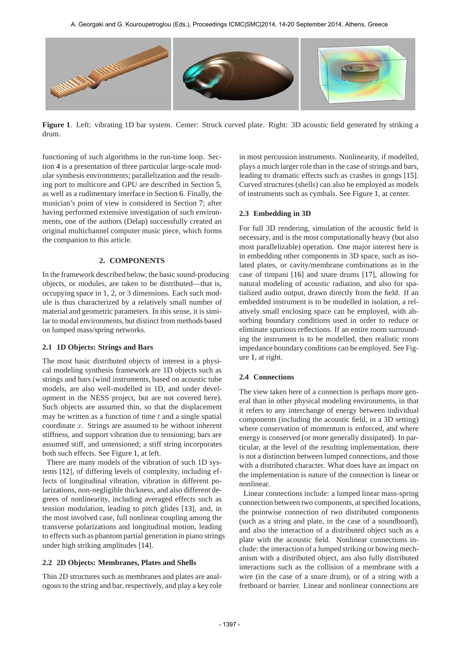

**Figure 1**. Left: vibrating 1D bar system. Center: Struck curved plate. Right: 3D acoustic field generated by striking a drum.

functioning of such algorithms in the run-time loop. Section 4 is a presentation of three particular large-scale modular synthesis environments; parallelization and the resulting port to multicore and GPU are described in Section 5, as well as a rudimentary interface in Section 6. Finally, the musician's point of view is considered in Section 7; after having performed extensive investigation of such environments, one of the authors (Delap) successfully created an original multichannel computer music piece, which forms the companion to this article.

# **2. COMPONENTS**

In the framework described below, the basic sound-producing objects, or modules, are taken to be distributed—that is, occupying space in 1, 2, or 3 dimensions. Each such module is thus characterized by a relatively small number of material and geometric parameters. In this sense, it is similar to modal environments, but distinct from methods based on lumped mass/spring networks.

### **2.1 1D Objects: Strings and Bars**

The most basic distributed objects of interest in a physical modeling synthesis framework are 1D objects such as strings and bars (wind instruments, based on acoustic tube models, are also well-modelled in 1D, and under development in the NESS project, but are not covered here). Such objects are assumed thin, so that the displacement may be written as a function of time  $t$  and a single spatial coordinate  $x$ . Strings are assumed to be without inherent stiffness, and support vibration due to tensioning; bars are assumed stiff, and untensioned; a stiff string incorporates both such effects. See Figure 1, at left.

There are many models of the vibration of such 1D systems [12], of differing levels of complexity, including effects of longitudinal vibration, vibration in different polarizations, non-negligible thickness, and also different degrees of nonlinearity, including averaged effects such as tension modulation, leading to pitch glides [13], and, in the most involved case, full nonlinear coupling among the transverse polarizations and longitudinal motion, leading to effects such as phantom partial generation in piano strings under high striking amplitudes [14].

# **2.2 2D Objects: Membranes, Plates and Shells**

Thin 2D structures such as membranes and plates are analogous to the string and bar, respectively, and play a key role in most percussion instruments. Nonlinearity, if modelled, plays a much larger role than in the case of strings and bars, leading to dramatic effects such as crashes in gongs [15]. Curved structures (shells) can also be employed as models of instruments such as cymbals. See Figure 1, at center.

# **2.3 Embedding in 3D**

For full 3D rendering, simulation of the acoustic field is necessary, and is the most computationally heavy (but also most parallelizable) operation. One major interest here is in embedding other components in 3D space, such as isolated plates, or cavity/membrane combinations as in the case of timpani [16] and snare drums [17], allowing for natural modeling of acoustic radiation, and also for spatialized audio output, drawn directly from the field. If an embedded instrument is to be modelled in isolation, a relatively small enclosing space can be employed, with absorbing boundary conditions used in order to reduce or eliminate spurious reflections. If an entire room surrounding the instrument is to be modelled, then realistic room impedance boundary conditions can be employed. See Figure 1, at right.

# **2.4 Connections**

The view taken here of a connection is perhaps more general than in other physical modeling environments, in that it refers to any interchange of energy between individual components (including the acoustic field, in a 3D setting) where conservation of momentum is enforced, and where energy is conserved (or more generally dissipated). In particular, at the level of the resulting implementation, there is not a distinction between lumped connections, and those with a distributed character. What does have an impact on the implementation is nature of the connection is linear or nonlinear.

Linear connections include: a lumped linear mass-spring connection between two components, at specified locations, the pointwise connection of two distributed components (such as a string and plate, in the case of a soundboard), and also the interaction of a distributed object such as a plate with the acoustic field. Nonlinear connections include: the interaction of a lumped striking or bowing mechanism with a distributed object, ans also fully distributed interactions such as the collision of a membrane with a wire (in the case of a snare drum), or of a string with a fretboard or barrier. Linear and nonlinear connections are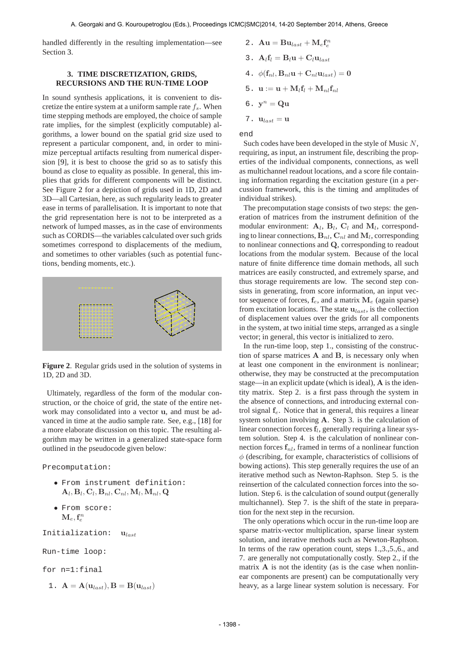handled differently in the resulting implementation—see Section 3.

# **3. TIME DISCRETIZATION, GRIDS, RECURSIONS AND THE RUN-TIME LOOP**

In sound synthesis applications, it is convenient to discretize the entire system at a uniform sample rate  $f_s$ . When time stepping methods are employed, the choice of sample rate implies, for the simplest (explicitly computable) algorithms, a lower bound on the spatial grid size used to represent a particular component, and, in order to minimize perceptual artifacts resulting from numerical dispersion [9], it is best to choose the grid so as to satisfy this bound as close to equality as possible. In general, this implies that grids for different components will be distinct. See Figure 2 for a depiction of grids used in 1D, 2D and 3D—all Cartesian, here, as such regularity leads to greater ease in terms of parallelisation. It is important to note that the grid representation here is not to be interpreted as a network of lumped masses, as in the case of environments such as CORDIS—the variables calculated over such grids sometimes correspond to displacements of the medium, and sometimes to other variables (such as potential functions, bending moments, etc.).



**Figure 2**. Regular grids used in the solution of systems in 1D, 2D and 3D.

Ultimately, regardless of the form of the modular construction, or the choice of grid, the state of the entire network may consolidated into a vector u, and must be advanced in time at the audio sample rate. See, e.g., [18] for a more elaborate discussion on this topic. The resulting algorithm may be written in a generalized state-space form outlined in the pseudocode given below:

Precomputation:

- From instrument definition:  $\mathbf{A}_l, \mathbf{B}_l, \mathbf{C}_l, \mathbf{B}_{nl}, \mathbf{C}_{nl}, \mathbf{M}_l, \mathbf{M}_{nl}, \mathbf{Q}$
- From score:  $\mathbf{M}_e, \mathbf{f}_e^n$

Initialization:  $u_{last}$ 

```
Run-time loop:
```
for n=1:final

1.  $\mathbf{A} = \mathbf{A}(\mathbf{u}_{last}), \mathbf{B} = \mathbf{B}(\mathbf{u}_{last})$ 

- 2.  $\mathbf{A}\mathbf{u} = \mathbf{B}\mathbf{u}_{last} + \mathbf{M}_e\mathbf{f}_e^n$
- 3.  $A_l f_l = B_l u + C_l u_{last}$
- 4.  $\phi(\mathbf{f}_{nl}, \mathbf{B}_{nl}\mathbf{u} + \mathbf{C}_{nl}\mathbf{u}_{last}) = 0$
- 5.  $\mathbf{u} := \mathbf{u} + \mathbf{M}_l \mathbf{f}_l + \mathbf{M}_{nl} \mathbf{f}_{nl}$
- $6. \, y^n = Qu$
- 7.  $\mathbf{u}_{last} = \mathbf{u}$

end

Such codes have been developed in the style of Music N, requiring, as input, an instrument file, describing the properties of the individual components, connections, as well as multichannel readout locations, and a score file containing information regarding the excitation gesture (in a percussion framework, this is the timing and amplitudes of individual strikes).

The precomputation stage consists of two steps: the generation of matrices from the instrument definition of the modular environment:  $A_l$ ,  $B_l$ ,  $C_l$  and  $M_l$ , corresponding to linear connections,  $B_{nl}$ ,  $C_{nl}$  and  $M_l$ , corresponding to nonlinear connections and Q, corresponding to readout locations from the modular system. Because of the local nature of finite difference time domain methods, all such matrices are easily constructed, and extremely sparse, and thus storage requirements are low. The second step consists in generating, from score information, an input vector sequence of forces,  $f_e$ , and a matrix  $M_e$  (again sparse) from excitation locations. The state  $u_{last}$ , is the collection of displacement values over the grids for all components in the system, at two initial time steps, arranged as a single vector; in general, this vector is initialized to zero.

In the run-time loop, step 1., consisting of the construction of sparse matrices A and B, is necessary only when at least one component in the environment is nonlinear; otherwise, they may be constructed at the precomputation stage—in an explicit update (which is ideal), A is the identity matrix. Step 2. is a first pass through the system in the absence of connections, and introducing external control signal  $f_e$ . Notice that in general, this requires a linear system solution involving A. Step 3. is the calculation of linear connection forces  $f_l$ , generally requiring a linear system solution. Step 4. is the calculation of nonlinear connection forces  $f_{nl}$ , framed in terms of a nonlinear function  $\phi$  (describing, for example, characteristics of collisions of bowing actions). This step generally requires the use of an iterative method such as Newton-Raphson. Step 5. is the reinsertion of the calculated connection forces into the solution. Step 6. is the calculation of sound output (generally multichannel). Step 7. is the shift of the state in preparation for the next step in the recursion.

The only operations which occur in the run-time loop are sparse matrix-vector multiplication, sparse linear system solution, and iterative methods such as Newton-Raphson. In terms of the raw operation count, steps 1.,3.,5.,6., and 7. are generally not computationally costly. Step 2., if the matrix  $A$  is not the identity (as is the case when nonlinear components are present) can be computationally very heavy, as a large linear system solution is necessary. For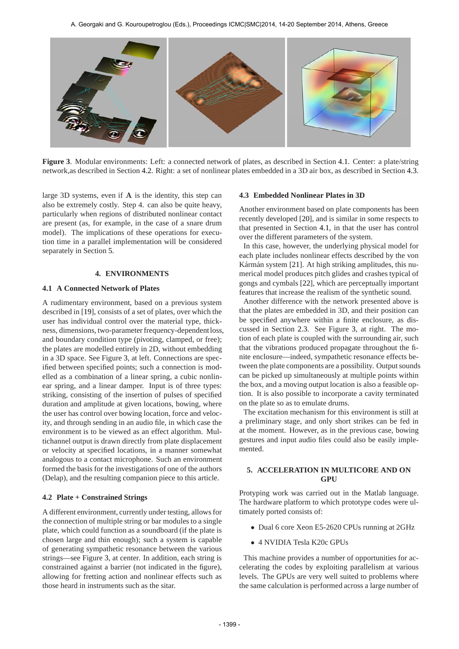

**Figure 3**. Modular environments: Left: a connected network of plates, as described in Section 4.1. Center: a plate/string network,as described in Section 4.2. Right: a set of nonlinear plates embedded in a 3D air box, as described in Section 4.3.

large 3D systems, even if  $A$  is the identity, this step can also be extremely costly. Step 4. can also be quite heavy, particularly when regions of distributed nonlinear contact are present (as, for example, in the case of a snare drum model). The implications of these operations for execution time in a parallel implementation will be considered separately in Section 5.

# **4. ENVIRONMENTS**

#### **4.1 A Connected Network of Plates**

A rudimentary environment, based on a previous system described in [19], consists of a set of plates, over which the user has individual control over the material type, thickness, dimensions, two-parameter frequency-dependentloss, and boundary condition type (pivoting, clamped, or free); the plates are modelled entirely in 2D, without embedding in a 3D space. See Figure 3, at left. Connections are specified between specified points; such a connection is modelled as a combination of a linear spring, a cubic nonlinear spring, and a linear damper. Input is of three types: striking, consisting of the insertion of pulses of specified duration and amplitude at given locations, bowing, where the user has control over bowing location, force and velocity, and through sending in an audio file, in which case the environment is to be viewed as an effect algorithm. Multichannel output is drawn directly from plate displacement or velocity at specified locations, in a manner somewhat analogous to a contact microphone. Such an environment formed the basis for the investigations of one of the authors (Delap), and the resulting companion piece to this article.

#### **4.2 Plate + Constrained Strings**

A different environment, currently under testing, allows for the connection of multiple string or bar modules to a single plate, which could function as a soundboard (if the plate is chosen large and thin enough); such a system is capable of generating sympathetic resonance between the various strings—see Figure 3, at center. In addition, each string is constrained against a barrier (not indicated in the figure), allowing for fretting action and nonlinear effects such as those heard in instruments such as the sitar.

#### **4.3 Embedded Nonlinear Plates in 3D**

Another environment based on plate components has been recently developed [20], and is similar in some respects to that presented in Section 4.1, in that the user has control over the different parameters of the system.

In this case, however, the underlying physical model for each plate includes nonlinear effects described by the von Kármán system [21]. At high striking amplitudes, this numerical model produces pitch glides and crashes typical of gongs and cymbals [22], which are perceptually important features that increase the realism of the synthetic sound.

Another difference with the network presented above is that the plates are embedded in 3D, and their position can be specified anywhere within a finite enclosure, as discussed in Section 2.3. See Figure 3, at right. The motion of each plate is coupled with the surrounding air, such that the vibrations produced propagate throughout the finite enclosure—indeed, sympathetic resonance effects between the plate components are a possibility. Output sounds can be picked up simultaneously at multiple points within the box, and a moving output location is also a feasible option. It is also possible to incorporate a cavity terminated on the plate so as to emulate drums.

The excitation mechanism for this environment is still at a preliminary stage, and only short strikes can be fed in at the moment. However, as in the previous case, bowing gestures and input audio files could also be easily implemented.

# **5. ACCELERATION IN MULTICORE AND ON GPU**

Protyping work was carried out in the Matlab language. The hardware platform to which prototype codes were ultimately ported consists of:

- Dual 6 core Xeon E5-2620 CPUs running at 2GHz
- 4 NVIDIA Tesla K20c GPUs

This machine provides a number of opportunities for accelerating the codes by exploiting parallelism at various levels. The GPUs are very well suited to problems where the same calculation is performed across a large number of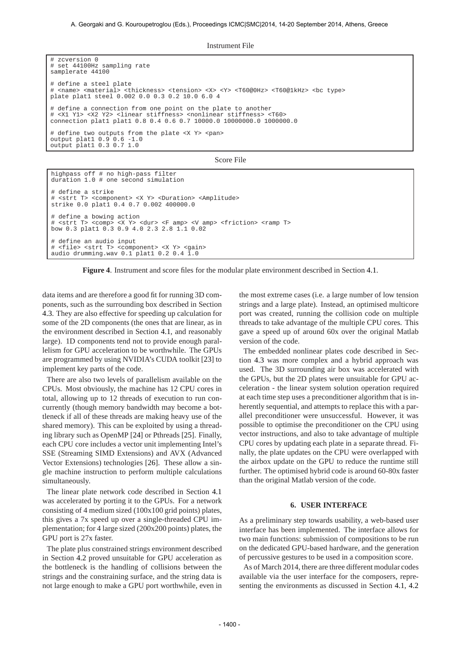Instrument File

# set 44100Hz sampling rate samplerate 44100 # define a steel plate # <name> <material> <thickness> <tension> <X> <Y> <T60@0Hz> <T60@1kHz> <bc type> plate plat1 steel 0.002 0.0 0.3 0.2 10.0 6.0 4 # define a connection from one point on the plate to another # <X1 Y1> <X2 Y2> <linear stiffness> <nonlinear stiffness> <T60> connection plat1 plat1 0.8 0.4 0.6 0.7 10000.0 10000000.0 1000000.0 # define two outputs from the plate <X Y> <pan> output plat1 0.9 0.6 -1.0 output plat1 0.3 0.7 1.0

Score File

```
highpass off # no high-pass filter
duration 1.0 # one second simulation
# define a strike
# <strt T> <component> <X Y> <Duration> <Amplitude>
strike 0.0 plat1 0.4 0.7 0.002 400000.0
# define a bowing action
# <strt T> <comp> <X Y> <dur> <F amp> <V amp> <friction> <ramp T>
bow 0.3 plat1 0.3 0.9 4.0 2.3 2.8 1.1 0.02
# define an audio input
# <file> <strt T> <component> <X Y> <gain>
audio drumming.wav 0.1 plat1 0.2 0.4 1.0
```
**Figure 4**. Instrument and score files for the modular plate environment described in Section 4.1.

data items and are therefore a good fit for running 3D components, such as the surrounding box described in Section 4.3. They are also effective for speeding up calculation for some of the 2D components (the ones that are linear, as in the environment described in Section 4.1, and reasonably large). 1D components tend not to provide enough parallelism for GPU acceleration to be worthwhile. The GPUs are programmed by using NVIDIA's CUDA toolkit [23] to implement key parts of the code.

# zcversion 0

There are also two levels of parallelism available on the CPUs. Most obviously, the machine has 12 CPU cores in total, allowing up to 12 threads of execution to run concurrently (though memory bandwidth may become a bottleneck if all of these threads are making heavy use of the shared memory). This can be exploited by using a threading library such as OpenMP [24] or Pthreads [25]. Finally, each CPU core includes a vector unit implementing Intel's SSE (Streaming SIMD Extensions) and AVX (Advanced Vector Extensions) technologies [26]. These allow a single machine instruction to perform multiple calculations simultaneously.

The linear plate network code described in Section 4.1 was accelerated by porting it to the GPUs. For a network consisting of 4 medium sized (100x100 grid points) plates, this gives a 7x speed up over a single-threaded CPU implementation; for 4 large sized (200x200 points) plates, the GPU port is 27x faster.

The plate plus constrained strings environment described in Section 4.2 proved unsuitable for GPU acceleration as the bottleneck is the handling of collisions between the strings and the constraining surface, and the string data is not large enough to make a GPU port worthwhile, even in the most extreme cases (i.e. a large number of low tension strings and a large plate). Instead, an optimised multicore port was created, running the collision code on multiple threads to take advantage of the multiple CPU cores. This gave a speed up of around 60x over the original Matlab version of the code.

The embedded nonlinear plates code described in Section 4.3 was more complex and a hybrid approach was used. The 3D surrounding air box was accelerated with the GPUs, but the 2D plates were unsuitable for GPU acceleration - the linear system solution operation required at each time step uses a preconditioner algorithm that is inherently sequential, and attempts to replace this with a parallel preconditioner were unsuccessful. However, it was possible to optimise the preconditioner on the CPU using vector instructions, and also to take advantage of multiple CPU cores by updating each plate in a separate thread. Finally, the plate updates on the CPU were overlapped with the airbox update on the GPU to reduce the runtime still further. The optimised hybrid code is around 60-80x faster than the original Matlab version of the code.

#### **6. USER INTERFACE**

As a preliminary step towards usability, a web-based user interface has been implemented. The interface allows for two main functions: submission of compositions to be run on the dedicated GPU-based hardware, and the generation of percussive gestures to be used in a composition score.

As of March 2014, there are three different modular codes available via the user interface for the composers, representing the environments as discussed in Section 4.1, 4.2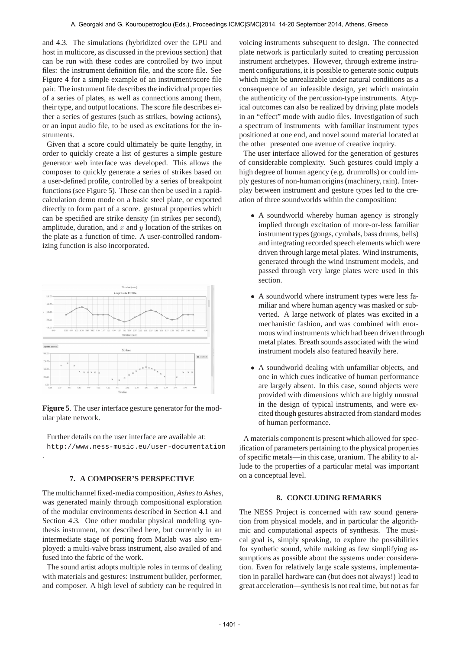and 4.3. The simulations (hybridized over the GPU and host in multicore, as discussed in the previous section) that can be run with these codes are controlled by two input files: the instrument definition file, and the score file. See Figure 4 for a simple example of an instrument/score file pair. The instrument file describes the individual properties of a series of plates, as well as connections among them, their type, and output locations. The score file describes either a series of gestures (such as strikes, bowing actions), or an input audio file, to be used as excitations for the instruments.

Given that a score could ultimately be quite lengthy, in order to quickly create a list of gestures a simple gesture generator web interface was developed. This allows the composer to quickly generate a series of strikes based on a user-defined profile, controlled by a series of breakpoint functions (see Figure 5). These can then be used in a rapidcalculation demo mode on a basic steel plate, or exported directly to form part of a score. gestural properties which can be specified are strike density (in strikes per second), amplitude, duration, and  $x$  and  $y$  location of the strikes on the plate as a function of time. A user-controlled randomizing function is also incorporated.



**Figure 5**. The user interface gesture generator for the modular plate network.

Further details on the user interface are available at: http://www.ness-music.eu/user-documentation

# **7. A COMPOSER'S PERSPECTIVE**

.

The multichannel fixed-media composition, *Ashes to Ashes*, was generated mainly through compositional exploration of the modular environments described in Section 4.1 and Section 4.3. One other modular physical modeling synthesis instrument, not described here, but currently in an intermediate stage of porting from Matlab was also employed: a multi-valve brass instrument, also availed of and fused into the fabric of the work.

The sound artist adopts multiple roles in terms of dealing with materials and gestures: instrument builder, performer, and composer. A high level of subtlety can be required in voicing instruments subsequent to design. The connected plate network is particularly suited to creating percussion instrument archetypes. However, through extreme instrument configurations, it is possible to generate sonic outputs which might be unrealizable under natural conditions as a consequence of an infeasible design, yet which maintain the authenticity of the percussion-type instruments. Atypical outcomes can also be realized by driving plate models in an "effect" mode with audio files. Investigation of such a spectrum of instruments with familiar instrument types positioned at one end, and novel sound material located at the other presented one avenue of creative inquiry.

The user interface allowed for the generation of gestures of considerable complexity. Such gestures could imply a high degree of human agency (e.g. drumrolls) or could imply gestures of non-human origins (machinery, rain). Interplay between instrument and gesture types led to the creation of three soundworlds within the composition:

- A soundworld whereby human agency is strongly implied through excitation of more-or-less familiar instrument types (gongs, cymbals, bass drums, bells) and integrating recorded speech elements which were driven through large metal plates. Wind instruments, generated through the wind instrument models, and passed through very large plates were used in this section.
- A soundworld where instrument types were less familiar and where human agency was masked or subverted. A large network of plates was excited in a mechanistic fashion, and was combined with enormous wind instruments which had been driven through metal plates. Breath sounds associated with the wind instrument models also featured heavily here.
- A soundworld dealing with unfamiliar objects, and one in which cues indicative of human performance are largely absent. In this case, sound objects were provided with dimensions which are highly unusual in the design of typical instruments, and were excited though gestures abstracted from standard modes of human performance.

A materials component is present which allowed for specification of parameters pertaining to the physical properties of specific metals—in this case, uranium. The ability to allude to the properties of a particular metal was important on a conceptual level.

# **8. CONCLUDING REMARKS**

The NESS Project is concerned with raw sound generation from physical models, and in particular the algorithmic and computational aspects of synthesis. The musical goal is, simply speaking, to explore the possibilities for synthetic sound, while making as few simplifying assumptions as possible about the systems under consideration. Even for relatively large scale systems, implementation in parallel hardware can (but does not always!) lead to great acceleration—synthesis is not real time, but not as far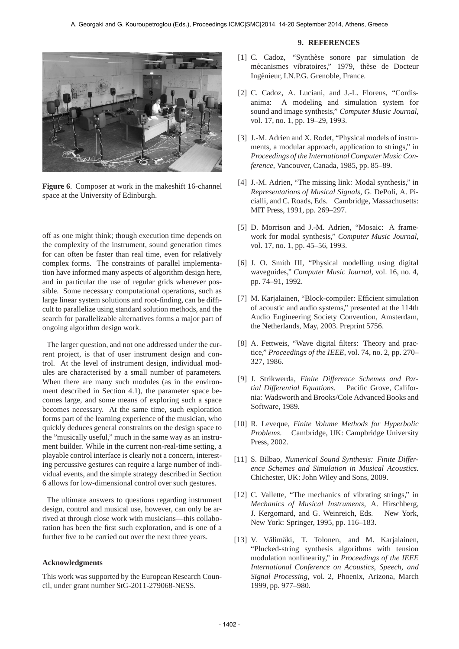

**Figure 6**. Composer at work in the makeshift 16-channel space at the University of Edinburgh.

off as one might think; though execution time depends on the complexity of the instrument, sound generation times for can often be faster than real time, even for relatively complex forms. The constraints of parallel implementation have informed many aspects of algorithm design here, and in particular the use of regular grids whenever possible. Some necessary computational operations, such as large linear system solutions and root-finding, can be difficult to parallelize using standard solution methods, and the search for parallelizable alternatives forms a major part of ongoing algorithm design work.

The larger question, and not one addressed under the current project, is that of user instrument design and control. At the level of instrument design, individual modules are characterised by a small number of parameters. When there are many such modules (as in the environment described in Section 4.1), the parameter space becomes large, and some means of exploring such a space becomes necessary. At the same time, such exploration forms part of the learning experience of the musician, who quickly deduces general constraints on the design space to the "musically useful," much in the same way as an instrument builder. While in the current non-real-time setting, a playable control interface is clearly not a concern, interesting percussive gestures can require a large number of individual events, and the simple strategy described in Section 6 allows for low-dimensional control over such gestures.

The ultimate answers to questions regarding instrument design, control and musical use, however, can only be arrived at through close work with musicians—this collaboration has been the first such exploration, and is one of a further five to be carried out over the next three years.

# **Acknowledgments**

This work was supported by the European Research Council, under grant number StG-2011-279068-NESS.

#### **9. REFERENCES**

- [1] C. Cadoz, "Synthèse sonore par simulation de mécanismes vibratoires," 1979, thèse de Docteur Ingénieur, I.N.P.G. Grenoble, France.
- [2] C. Cadoz, A. Luciani, and J.-L. Florens, "Cordisanima: A modeling and simulation system for sound and image synthesis," *Computer Music Journal*, vol. 17, no. 1, pp. 19–29, 1993.
- [3] J.-M. Adrien and X. Rodet, "Physical models of instruments, a modular approach, application to strings," in *Proceedings of the International Computer Music Conference*, Vancouver, Canada, 1985, pp. 85–89.
- [4] J.-M. Adrien, "The missing link: Modal synthesis," in *Representations of Musical Signals*, G. DePoli, A. Picialli, and C. Roads, Eds. Cambridge, Massachusetts: MIT Press, 1991, pp. 269–297.
- [5] D. Morrison and J.-M. Adrien, "Mosaic: A framework for modal synthesis," *Computer Music Journal*, vol. 17, no. 1, pp. 45–56, 1993.
- [6] J. O. Smith III, "Physical modelling using digital waveguides," *Computer Music Journal*, vol. 16, no. 4, pp. 74–91, 1992.
- [7] M. Karjalainen, "Block-compiler: Efficient simulation of acoustic and audio systems," presented at the 114th Audio Engineering Society Convention, Amsterdam, the Netherlands, May, 2003. Preprint 5756.
- [8] A. Fettweis, "Wave digital filters: Theory and practice," *Proceedings of the IEEE*, vol. 74, no. 2, pp. 270– 327, 1986.
- [9] J. Strikwerda, *Finite Difference Schemes and Partial Differential Equations*. Pacific Grove, California: Wadsworth and Brooks/Cole Advanced Books and Software, 1989.
- [10] R. Leveque, *Finite Volume Methods for Hyperbolic Problems*. Cambridge, UK: Campbridge University Press, 2002.
- [11] S. Bilbao, *Numerical Sound Synthesis: Finite Difference Schemes and Simulation in Musical Acoustics*. Chichester, UK: John Wiley and Sons, 2009.
- [12] C. Vallette, "The mechanics of vibrating strings," in *Mechanics of Musical Instruments*, A. Hirschberg, J. Kergomard, and G. Weinreich, Eds. New York, New York: Springer, 1995, pp. 116–183.
- [13] V. Välimäki, T. Tolonen, and M. Karjalainen, "Plucked-string synthesis algorithms with tension modulation nonlinearity," in *Proceedings of the IEEE International Conference on Acoustics, Speech, and Signal Processing*, vol. 2, Phoenix, Arizona, March 1999, pp. 977–980.